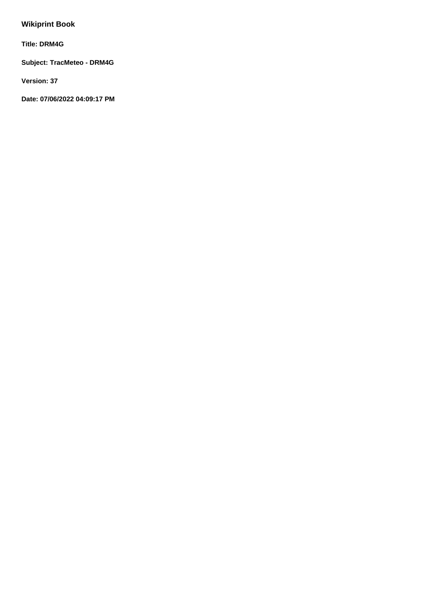# **Wikiprint Book**

**Title: DRM4G**

**Subject: TracMeteo - DRM4G**

**Version: 37**

**Date: 07/06/2022 04:09:17 PM**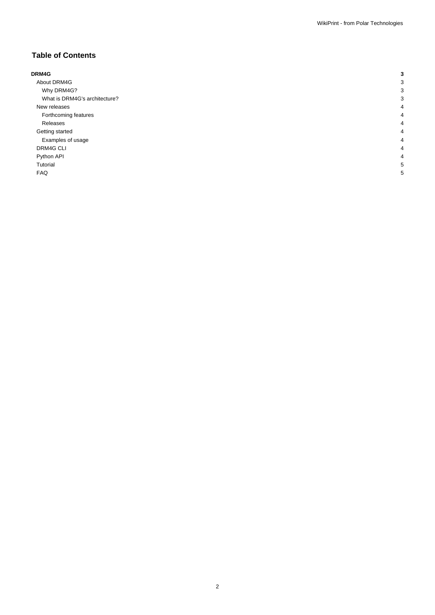## **Table of Contents**

| DRM4G                         |   |
|-------------------------------|---|
| About DRM4G                   |   |
| Why DRM4G?                    |   |
| What is DRM4G's architecture? |   |
| New releases                  |   |
| Forthcoming features          |   |
| Releases                      |   |
| Getting started               | 4 |
| Examples of usage             |   |
| DRM4G CLI                     | 4 |
| Python API                    |   |
| Tutorial                      |   |
| <b>FAQ</b>                    | c |
|                               |   |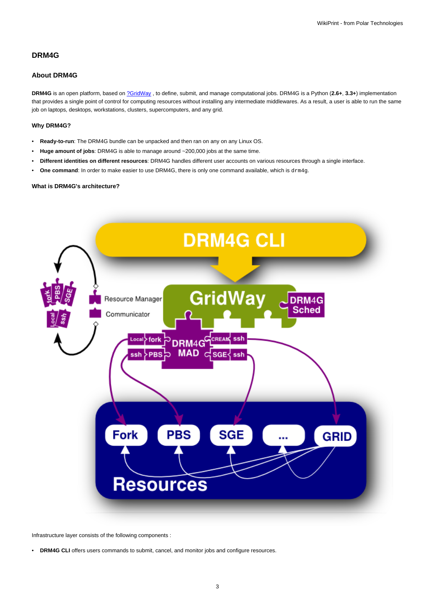## **DRM4G**

### **About DRM4G**

**DRM4G** is an open platform, based on [?GridWay](http://www.gridway.org/doku.php?id=start) , to define, submit, and manage computational jobs. DRM4G is a Python (**2.6+**, **3.3+**) implementation that provides a single point of control for computing resources without installing any intermediate middlewares. As a result, a user is able to run the same job on laptops, desktops, workstations, clusters, supercomputers, and any grid.

## **Why DRM4G?**

- **Ready-to-run**: The DRM4G bundle can be unpacked and then ran on any on any Linux OS.
- **Huge amount of jobs**: DRM4G is able to manage around ~200,000 jobs at the same time.
- **Different identities on different resources**: DRM4G handles different user accounts on various resources through a single interface.
- **One command**: In order to make easier to use DRM4G, there is only one command available, which is drm4g.

#### **What is DRM4G's architecture?**



Infrastructure layer consists of the following components :

• **DRM4G CLI** offers users commands to submit, cancel, and monitor jobs and configure resources.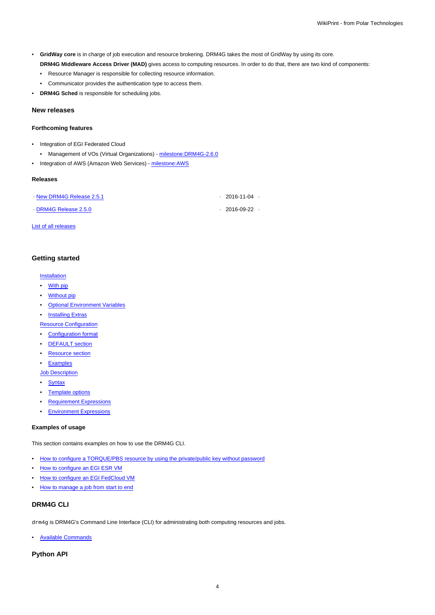- **GridWay core** is in charge of job execution and resource brokering. DRM4G takes the most of GridWay by using its core.
	- **DRM4G Middleware Access Driver (MAD)** gives access to computing resources. In order to do that, there are two kind of components:

• Resource Manager is responsible for collecting resource information.

- Communicator provides the authentication type to access them.
- **DRM4G Sched** is responsible for scheduling jobs.

### **New releases**

#### **Forthcoming features**

- Integration of EGI Federated Cloud
	- Management of VOs (Virtual Organizations) milestone: DRM4G-2.6.0
- Integration of AWS (Amazon Web Services) milestone: AWS

#### **Releases**

| New DRM4G Release 2.5.1 | $. \ \ 2016 - 11 - 04 \ \ .$ |  |
|-------------------------|------------------------------|--|
| DRM4G Release 2.5.0     | $. \ \ 2016 - 09 - 22 \ \ .$ |  |

[List of all releases](https://meteo.unican.es/trac/wiki/DRM4G/ChangeLog)

#### **Getting started**

#### **[Installation](https://meteo.unican.es/trac/wiki/DRM4G/Installation)**

- [With pip](https://meteo.unican.es/trac/wiki/DRM4G/Installation#Withpip)
- **[Without pip](https://meteo.unican.es/trac/wiki/DRM4G/Installation#Withoutpip)**
- [Optional Environment Variables](https://meteo.unican.es/trac/wiki/DRM4G/Installation#OptionalEnvironmentVariables)
- **[Installing Extras](https://meteo.unican.es/trac/wiki/DRM4G/Installation#InstallingExtras)**

**[Resource Configuration](https://meteo.unican.es/trac/wiki/DRM4G/ResourceConfiguration)** 

- [Configuration format](https://meteo.unican.es/trac/wiki/DRM4G/ResourceConfiguration#Configurationformat)
- [DEFAULT section](https://meteo.unican.es/trac/wiki/DRM4G/ResourceConfiguration#DEFAULTsection)
- [Resource section](https://meteo.unican.es/trac/wiki/DRM4G/ResourceConfiguration#Resourcesection)
- [Examples](https://meteo.unican.es/trac/wiki/DRM4G/ResourceConfiguration#Examples)

[Job Description](https://meteo.unican.es/trac/wiki/DRM4G/JobDescription)

- [Syntax](https://meteo.unican.es/trac/wiki/DRM4G/JobDescription#Syntax)
- [Template options](https://meteo.unican.es/trac/wiki/DRM4G/JobDescription#Templateoptions)
- [Requirement Expressions](https://meteo.unican.es/trac/wiki/DRM4G/JobDescription#RequirementExpressions)
- [Environment Expressions](https://meteo.unican.es/trac/wiki/DRM4G/JobDescription#EnvironmentExpressions)

#### **Examples of usage**

This section contains examples on how to use the DRM4G CLI.

- [How to configure a TORQUE/PBS resource by using the private/public key without password](https://meteo.unican.es/trac/wiki/DRM4G/ResourceConfiguration/TorquePBSResource)
- [How to configure an EGI ESR VM](https://meteo.unican.es/trac/wiki/DRM4G/ResourceConfiguration/EGIESR)
- [How to configure an EGI FedCloud VM](https://meteo.unican.es/trac/wiki/DRM4G/ResourceConfiguration/EGIFedCloud)
- [How to manage a job from start to end](https://meteo.unican.es/trac/wiki/DRM4G/ManageJob)

## **DRM4G CLI**

drm4g is DRM4G's Command Line Interface (CLI) for administrating both computing resources and jobs.

• [Available Commands](https://meteo.unican.es/trac/wiki/DRM4G/AvailableCommands)

**Python API**